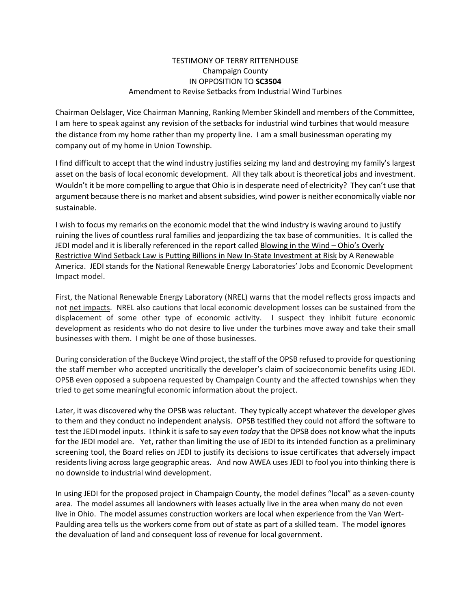## TESTIMONY OF TERRY RITTENHOUSE Champaign County IN OPPOSITION TO **SC3504** Amendment to Revise Setbacks from Industrial Wind Turbines

Chairman Oelslager, Vice Chairman Manning, Ranking Member Skindell and members of the Committee, I am here to speak against any revision of the setbacks for industrial wind turbines that would measure the distance from my home rather than my property line. I am a small businessman operating my company out of my home in Union Township.

I find difficult to accept that the wind industry justifies seizing my land and destroying my family's largest asset on the basis of local economic development. All they talk about is theoretical jobs and investment. Wouldn't it be more compelling to argue that Ohio is in desperate need of electricity? They can't use that argument because there is no market and absent subsidies, wind power is neither economically viable nor sustainable.

I wish to focus my remarks on the economic model that the wind industry is waving around to justify ruining the lives of countless rural families and jeopardizing the tax base of communities. It is called the JEDI model and it is liberally referenced in the report called Blowing in the Wind – Ohio's Overly Restrictive Wind Setback Law is Putting Billions in New In-State Investment at Risk by A Renewable America. JEDI stands for the National Renewable Energy Laboratories' Jobs and Economic Development Impact model.

First, the National Renewable Energy Laboratory (NREL) warns that the model reflects gross impacts and not net impacts. NREL also cautions that local economic development losses can be sustained from the displacement of some other type of economic activity. I suspect they inhibit future economic development as residents who do not desire to live under the turbines move away and take their small businesses with them. I might be one of those businesses.

During consideration of the Buckeye Wind project, the staff of the OPSB refused to provide for questioning the staff member who accepted uncritically the developer's claim of socioeconomic benefits using JEDI. OPSB even opposed a subpoena requested by Champaign County and the affected townships when they tried to get some meaningful economic information about the project.

Later, it was discovered why the OPSB was reluctant. They typically accept whatever the developer gives to them and they conduct no independent analysis. OPSB testified they could not afford the software to test the JEDI model inputs. I think it issafe to say *even today* that the OPSB does not know what the inputs for the JEDI model are. Yet, rather than limiting the use of JEDI to its intended function as a preliminary screening tool, the Board relies on JEDI to justify its decisions to issue certificates that adversely impact residents living across large geographic areas. And now AWEA uses JEDI to fool you into thinking there is no downside to industrial wind development.

In using JEDI for the proposed project in Champaign County, the model defines "local" as a seven-county area. The model assumes all landowners with leases actually live in the area when many do not even live in Ohio. The model assumes construction workers are local when experience from the Van Wert-Paulding area tells us the workers come from out of state as part of a skilled team. The model ignores the devaluation of land and consequent loss of revenue for local government.